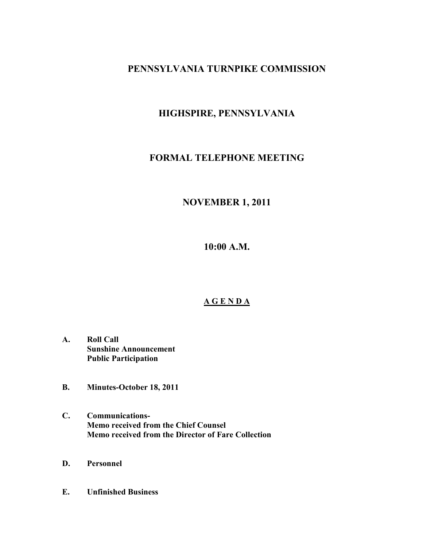# **PENNSYLVANIA TURNPIKE COMMISSION**

# **HIGHSPIRE, PENNSYLVANIA**

# **FORMAL TELEPHONE MEETING**

## **NOVEMBER 1, 2011**

**10:00 A.M.** 

### **A G E N D A**

- **A. Roll Call Sunshine Announcement Public Participation**
- **B. Minutes-October 18, 2011**
- **C. Communications-Memo received from the Chief Counsel Memo received from the Director of Fare Collection**
- **D. Personnel**
- **E. Unfinished Business**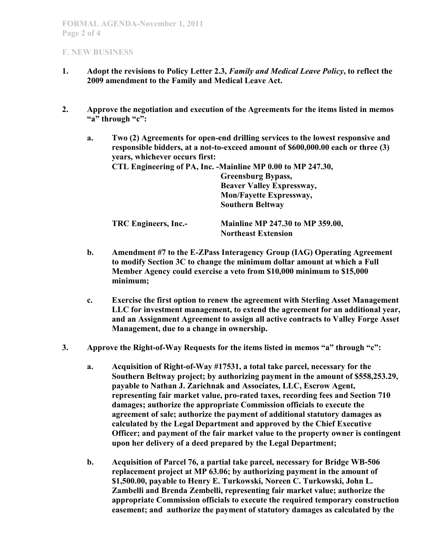### **F. NEW BUSINESS**

- **1. Adopt the revisions to Policy Letter 2.3,** *Family and Medical Leave Policy***, to reflect the 2009 amendment to the Family and Medical Leave Act.**
- **2. Approve the negotiation and execution of the Agreements for the items listed in memos "a" through "c":** 
	- **a. Two (2) Agreements for open-end drilling services to the lowest responsive and responsible bidders, at a not-to-exceed amount of \$600,000.00 each or three (3) years, whichever occurs first: CTL Engineering of PA, Inc. -Mainline MP 0.00 to MP 247.30, Greensburg Bypass, Beaver Valley Expressway, Mon/Fayette Expressway, Southern Beltway TRC Engineers, Inc.- Mainline MP 247.30 to MP 359.00, Northeast Extension**
	- **b. Amendment #7 to the E-ZPass Interagency Group (IAG) Operating Agreement to modify Section 3C to change the minimum dollar amount at which a Full Member Agency could exercise a veto from \$10,000 minimum to \$15,000 minimum;**
	- **c. Exercise the first option to renew the agreement with Sterling Asset Management LLC for investment management, to extend the agreement for an additional year, and an Assignment Agreement to assign all active contracts to Valley Forge Asset Management, due to a change in ownership.**
- **3. Approve the Right-of-Way Requests for the items listed in memos "a" through "c":** 
	- **a. Acquisition of Right-of-Way #17531, a total take parcel, necessary for the Southern Beltway project; by authorizing payment in the amount of \$558,253.29, payable to Nathan J. Zarichnak and Associates, LLC, Escrow Agent, representing fair market value, pro-rated taxes, recording fees and Section 710 damages; authorize the appropriate Commission officials to execute the agreement of sale; authorize the payment of additional statutory damages as calculated by the Legal Department and approved by the Chief Executive Officer; and payment of the fair market value to the property owner is contingent upon her delivery of a deed prepared by the Legal Department;**
	- **b. Acquisition of Parcel 76, a partial take parcel, necessary for Bridge WB-506 replacement project at MP 63.06; by authorizing payment in the amount of \$1,500.00, payable to Henry E. Turkowski, Noreen C. Turkowski, John L. Zambelli and Brenda Zembelli, representing fair market value; authorize the appropriate Commission officials to execute the required temporary construction easement; and authorize the payment of statutory damages as calculated by the**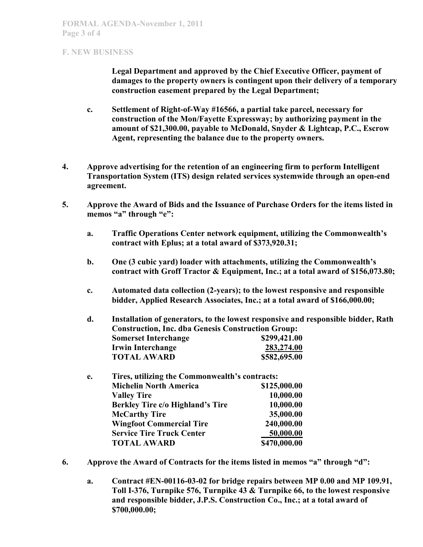### **F. NEW BUSINESS**

**Legal Department and approved by the Chief Executive Officer, payment of damages to the property owners is contingent upon their delivery of a temporary construction easement prepared by the Legal Department;** 

- **c. Settlement of Right-of-Way #16566, a partial take parcel, necessary for construction of the Mon/Fayette Expressway; by authorizing payment in the amount of \$21,300.00, payable to McDonald, Snyder & Lightcap, P.C., Escrow Agent, representing the balance due to the property owners.**
- **4. Approve advertising for the retention of an engineering firm to perform Intelligent Transportation System (ITS) design related services systemwide through an open-end agreement.**
- **5. Approve the Award of Bids and the Issuance of Purchase Orders for the items listed in memos "a" through "e":** 
	- **a. Traffic Operations Center network equipment, utilizing the Commonwealth's contract with Eplus; at a total award of \$373,920.31;**
	- **b. One (3 cubic yard) loader with attachments, utilizing the Commonwealth's contract with Groff Tractor & Equipment, Inc.; at a total award of \$156,073.80;**
	- **c. Automated data collection (2-years); to the lowest responsive and responsible bidder, Applied Research Associates, Inc.; at a total award of \$166,000.00;**

**d. Installation of generators, to the lowest responsive and responsible bidder, Rath Construction, Inc. dba Genesis Construction Group: Somerset Interchange** \$299,421.00  **Irwin Interchange 283,274.00 TOTAL AWARD \$582,695.00** 

| Tires, utilizing the Commonwealth's contracts:<br>e. |              |
|------------------------------------------------------|--------------|
| <b>Michelin North America</b>                        | \$125,000.00 |
| <b>Valley Tire</b>                                   | 10,000.00    |
| <b>Berkley Tire c/o Highland's Tire</b>              | 10,000.00    |
| <b>McCarthy Tire</b>                                 | 35,000.00    |
| <b>Wingfoot Commercial Tire</b>                      | 240,000.00   |
| <b>Service Tire Truck Center</b>                     | 50,000.00    |
| <b>TOTAL AWARD</b>                                   | \$470,000.00 |
|                                                      |              |

- **6. Approve the Award of Contracts for the items listed in memos "a" through "d":** 
	- **a. Contract #EN-00116-03-02 for bridge repairs between MP 0.00 and MP 109.91, Toll I-376, Turnpike 576, Turnpike 43 & Turnpike 66, to the lowest responsive and responsible bidder, J.P.S. Construction Co., Inc.; at a total award of \$700,000.00;**